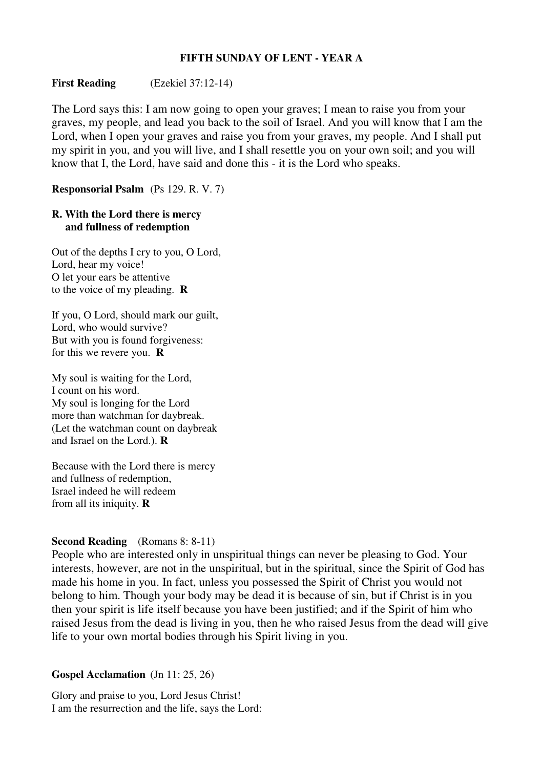## **FIFTH SUNDAY OF LENT - YEAR A**

# **First Reading** (Ezekiel 37:12-14)

The Lord says this: I am now going to open your graves; I mean to raise you from your graves, my people, and lead you back to the soil of Israel. And you will know that I am the Lord, when I open your graves and raise you from your graves, my people. And I shall put my spirit in you, and you will live, and I shall resettle you on your own soil; and you will know that I, the Lord, have said and done this - it is the Lord who speaks.

**Responsorial Psalm** (Ps 129. R. V. 7)

### **R. With the Lord there is mercy and fullness of redemption**

Out of the depths I cry to you, O Lord, Lord, hear my voice! O let your ears be attentive to the voice of my pleading. **R**

If you, O Lord, should mark our guilt, Lord, who would survive? But with you is found forgiveness: for this we revere you. **R**

My soul is waiting for the Lord, I count on his word. My soul is longing for the Lord more than watchman for daybreak. (Let the watchman count on daybreak and Israel on the Lord.). **R**

Because with the Lord there is mercy and fullness of redemption, Israel indeed he will redeem from all its iniquity. **R**

# **Second Reading** (Romans 8: 8-11)

People who are interested only in unspiritual things can never be pleasing to God. Your interests, however, are not in the unspiritual, but in the spiritual, since the Spirit of God has made his home in you. In fact, unless you possessed the Spirit of Christ you would not belong to him. Though your body may be dead it is because of sin, but if Christ is in you then your spirit is life itself because you have been justified; and if the Spirit of him who raised Jesus from the dead is living in you, then he who raised Jesus from the dead will give life to your own mortal bodies through his Spirit living in you.

#### **Gospel Acclamation** (Jn 11: 25, 26)

Glory and praise to you, Lord Jesus Christ! I am the resurrection and the life, says the Lord: